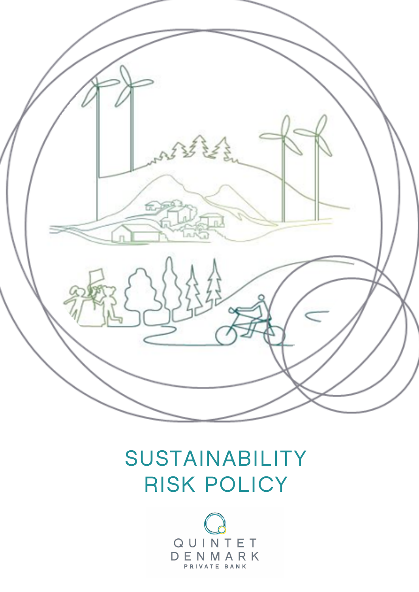

# SUSTAINABILITY RISK POLICY

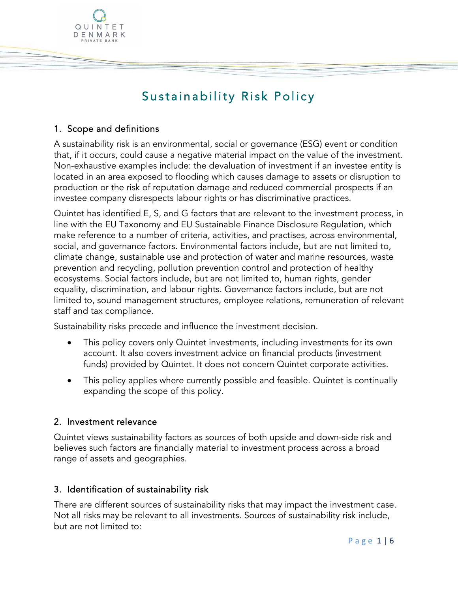# Sustainability Risk Policy

# 1. Scope and definitions

QUINTET DENMARK

A sustainability risk is an environmental, social or governance (ESG) event or condition that, if it occurs, could cause a negative material impact on the value of the investment. Non-exhaustive examples include: the devaluation of investment if an investee entity is located in an area exposed to flooding which causes damage to assets or disruption to production or the risk of reputation damage and reduced commercial prospects if an investee company disrespects labour rights or has discriminative practices.

Quintet has identified E, S, and G factors that are relevant to the investment process, in line with the EU Taxonomy and EU Sustainable Finance Disclosure Regulation, which make reference to a number of criteria, activities, and practises, across environmental, social, and governance factors. Environmental factors include, but are not limited to, climate change, sustainable use and protection of water and marine resources, waste prevention and recycling, pollution prevention control and protection of healthy ecosystems. Social factors include, but are not limited to, human rights, gender equality, discrimination, and labour rights. Governance factors include, but are not limited to, sound management structures, employee relations, remuneration of relevant staff and tax compliance.

Sustainability risks precede and influence the investment decision.

- This policy covers only Quintet investments, including investments for its own account. It also covers investment advice on financial products (investment funds) provided by Quintet. It does not concern Quintet corporate activities.
- This policy applies where currently possible and feasible. Quintet is continually expanding the scope of this policy.

# 2. Investment relevance

Quintet views sustainability factors as sources of both upside and down-side risk and believes such factors are financially material to investment process across a broad range of assets and geographies.

# 3. Identification of sustainability risk

There are different sources of sustainability risks that may impact the investment case. Not all risks may be relevant to all investments. Sources of sustainability risk include, but are not limited to: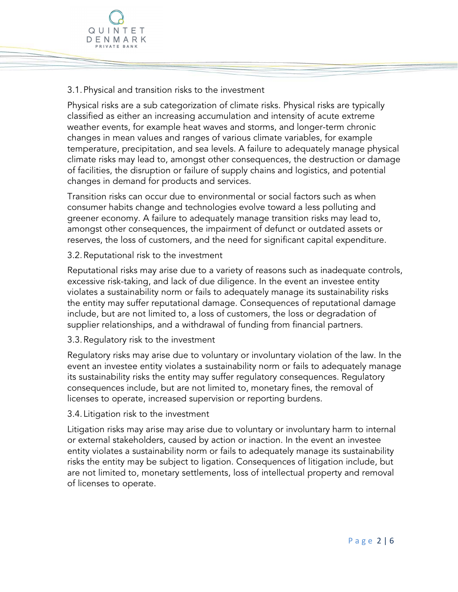

# 3.1.Physical and transition risks to the investment

Physical risks are a sub categorization of climate risks. Physical risks are typically classified as either an increasing accumulation and intensity of acute extreme weather events, for example heat waves and storms, and longer-term chronic changes in mean values and ranges of various climate variables, for example temperature, precipitation, and sea levels. A failure to adequately manage physical climate risks may lead to, amongst other consequences, the destruction or damage of facilities, the disruption or failure of supply chains and logistics, and potential changes in demand for products and services.

Transition risks can occur due to environmental or social factors such as when consumer habits change and technologies evolve toward a less polluting and greener economy. A failure to adequately manage transition risks may lead to, amongst other consequences, the impairment of defunct or outdated assets or reserves, the loss of customers, and the need for significant capital expenditure.

#### 3.2.Reputational risk to the investment

Reputational risks may arise due to a variety of reasons such as inadequate controls, excessive risk-taking, and lack of due diligence. In the event an investee entity violates a sustainability norm or fails to adequately manage its sustainability risks the entity may suffer reputational damage. Consequences of reputational damage include, but are not limited to, a loss of customers, the loss or degradation of supplier relationships, and a withdrawal of funding from financial partners.

#### 3.3.Regulatory risk to the investment

Regulatory risks may arise due to voluntary or involuntary violation of the law. In the event an investee entity violates a sustainability norm or fails to adequately manage its sustainability risks the entity may suffer regulatory consequences. Regulatory consequences include, but are not limited to, monetary fines, the removal of licenses to operate, increased supervision or reporting burdens.

#### 3.4. Litigation risk to the investment

Litigation risks may arise may arise due to voluntary or involuntary harm to internal or external stakeholders, caused by action or inaction. In the event an investee entity violates a sustainability norm or fails to adequately manage its sustainability risks the entity may be subject to ligation. Consequences of litigation include, but are not limited to, monetary settlements, loss of intellectual property and removal of licenses to operate.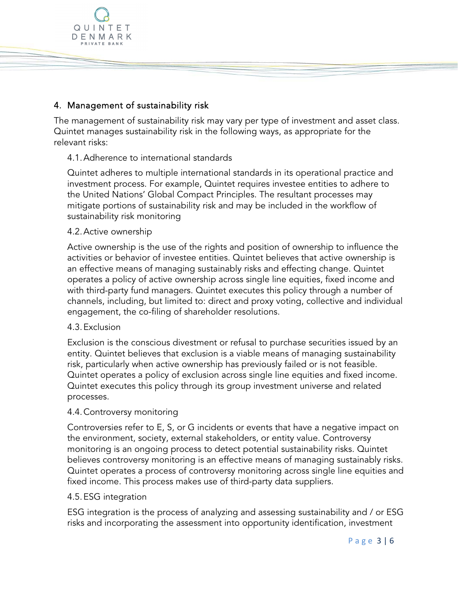

# 4. Management of sustainability risk

The management of sustainability risk may vary per type of investment and asset class. Quintet manages sustainability risk in the following ways, as appropriate for the relevant risks:

# 4.1.Adherence to international standards

Quintet adheres to multiple international standards in its operational practice and investment process. For example, Quintet requires investee entities to adhere to the United Nations' Global Compact Principles. The resultant processes may mitigate portions of sustainability risk and may be included in the workflow of sustainability risk monitoring

# 4.2.Active ownership

Active ownership is the use of the rights and position of ownership to influence the activities or behavior of investee entities. Quintet believes that active ownership is an effective means of managing sustainably risks and effecting change. Quintet operates a policy of active ownership across single line equities, fixed income and with third-party fund managers. Quintet executes this policy through a number of channels, including, but limited to: direct and proxy voting, collective and individual engagement, the co-filing of shareholder resolutions.

#### 4.3.Exclusion

Exclusion is the conscious divestment or refusal to purchase securities issued by an entity. Quintet believes that exclusion is a viable means of managing sustainability risk, particularly when active ownership has previously failed or is not feasible. Quintet operates a policy of exclusion across single line equities and fixed income. Quintet executes this policy through its group investment universe and related processes.

#### 4.4.Controversy monitoring

Controversies refer to E, S, or G incidents or events that have a negative impact on the environment, society, external stakeholders, or entity value. Controversy monitoring is an ongoing process to detect potential sustainability risks. Quintet believes controversy monitoring is an effective means of managing sustainably risks. Quintet operates a process of controversy monitoring across single line equities and fixed income. This process makes use of third-party data suppliers.

#### 4.5.ESG integration

ESG integration is the process of analyzing and assessing sustainability and / or ESG risks and incorporating the assessment into opportunity identification, investment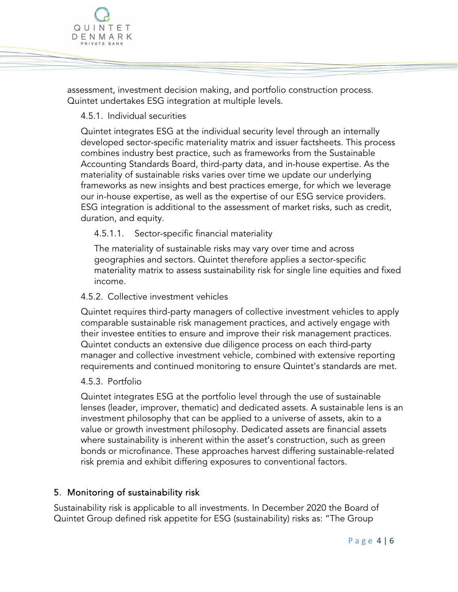assessment, investment decision making, and portfolio construction process. Quintet undertakes ESG integration at multiple levels.

# 4.5.1. Individual securities

QUINTET DENMARK PRIVATE BANK

> Quintet integrates ESG at the individual security level through an internally developed sector-specific materiality matrix and issuer factsheets. This process combines industry best practice, such as frameworks from the Sustainable Accounting Standards Board, third-party data, and in-house expertise. As the materiality of sustainable risks varies over time we update our underlying frameworks as new insights and best practices emerge, for which we leverage our in-house expertise, as well as the expertise of our ESG service providers. ESG integration is additional to the assessment of market risks, such as credit, duration, and equity.

# 4.5.1.1. Sector-specific financial materiality

The materiality of sustainable risks may vary over time and across geographies and sectors. Quintet therefore applies a sector-specific materiality matrix to assess sustainability risk for single line equities and fixed income.

#### 4.5.2. Collective investment vehicles

Quintet requires third-party managers of collective investment vehicles to apply comparable sustainable risk management practices, and actively engage with their investee entities to ensure and improve their risk management practices. Quintet conducts an extensive due diligence process on each third-party manager and collective investment vehicle, combined with extensive reporting requirements and continued monitoring to ensure Quintet's standards are met.

#### 4.5.3. Portfolio

Quintet integrates ESG at the portfolio level through the use of sustainable lenses (leader, improver, thematic) and dedicated assets. A sustainable lens is an investment philosophy that can be applied to a universe of assets, akin to a value or growth investment philosophy. Dedicated assets are financial assets where sustainability is inherent within the asset's construction, such as green bonds or microfinance. These approaches harvest differing sustainable-related risk premia and exhibit differing exposures to conventional factors.

#### 5. Monitoring of sustainability risk

Sustainability risk is applicable to all investments. In December 2020 the Board of Quintet Group defined risk appetite for ESG (sustainability) risks as: "The Group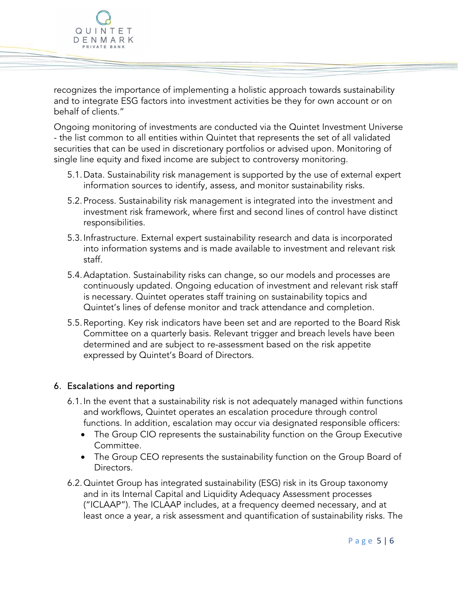recognizes the importance of implementing a holistic approach towards sustainability and to integrate ESG factors into investment activities be they for own account or on behalf of clients."

Ongoing monitoring of investments are conducted via the Quintet Investment Universe - the list common to all entities within Quintet that represents the set of all validated securities that can be used in discretionary portfolios or advised upon. Monitoring of single line equity and fixed income are subject to controversy monitoring.

- 5.1.Data. Sustainability risk management is supported by the use of external expert information sources to identify, assess, and monitor sustainability risks.
- 5.2.Process. Sustainability risk management is integrated into the investment and investment risk framework, where first and second lines of control have distinct responsibilities.
- 5.3.Infrastructure. External expert sustainability research and data is incorporated into information systems and is made available to investment and relevant risk staff.
- 5.4.Adaptation. Sustainability risks can change, so our models and processes are continuously updated. Ongoing education of investment and relevant risk staff is necessary. Quintet operates staff training on sustainability topics and Quintet's lines of defense monitor and track attendance and completion.
- 5.5.Reporting. Key risk indicators have been set and are reported to the Board Risk Committee on a quarterly basis. Relevant trigger and breach levels have been determined and are subject to re-assessment based on the risk appetite expressed by Quintet's Board of Directors.

# 6. Escalations and reporting

QUINTET DENMARK RIVATE BANK

- 6.1.In the event that a sustainability risk is not adequately managed within functions and workflows, Quintet operates an escalation procedure through control functions. In addition, escalation may occur via designated responsible officers:
	- The Group CIO represents the sustainability function on the Group Executive Committee.
	- The Group CEO represents the sustainability function on the Group Board of Directors.
- 6.2.Quintet Group has integrated sustainability (ESG) risk in its Group taxonomy and in its Internal Capital and Liquidity Adequacy Assessment processes ("ICLAAP"). The ICLAAP includes, at a frequency deemed necessary, and at least once a year, a risk assessment and quantification of sustainability risks. The